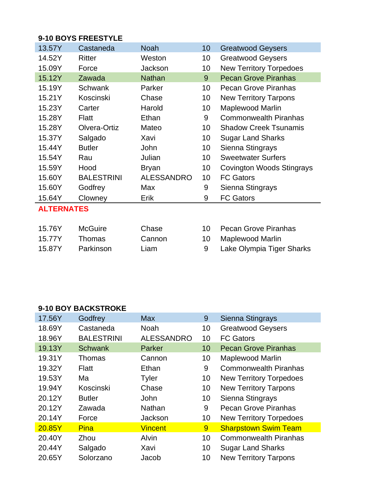## **9-10 BOYS FREESTYLE**

| 13.57Y            | Castaneda         | Noah              | 10  | <b>Greatwood Geysers</b>       |  |
|-------------------|-------------------|-------------------|-----|--------------------------------|--|
| 14.52Y            | Ritter            | Weston            | 10  | <b>Greatwood Geysers</b>       |  |
| 15.09Y            | Force             | Jackson           | 10  | <b>New Territory Torpedoes</b> |  |
| 15.12Y            | Zawada            | <b>Nathan</b>     | 9   | <b>Pecan Grove Piranhas</b>    |  |
| 15.19Y            | <b>Schwank</b>    | Parker            | 10  | <b>Pecan Grove Piranhas</b>    |  |
| 15.21Y            | Koscinski         | Chase             | 10  | <b>New Territory Tarpons</b>   |  |
| 15.23Y            | Carter            | Harold            | 10  | <b>Maplewood Marlin</b>        |  |
| 15.28Y            | Flatt             | Ethan             | 9   | <b>Commonwealth Piranhas</b>   |  |
| 15.28Y            | Olvera-Ortiz      | Mateo             | 10  | <b>Shadow Creek Tsunamis</b>   |  |
| 15.37Y            | Salgado           | Xavi              | 10  | <b>Sugar Land Sharks</b>       |  |
| 15.44Y            | <b>Butler</b>     | John              | 10  | Sienna Stingrays               |  |
| 15.54Y            | Rau               | Julian            | 10  | <b>Sweetwater Surfers</b>      |  |
| 15.59Y            | Hood              | <b>Bryan</b>      | 10  | Covington Woods Stingrays      |  |
| 15.60Y            | <b>BALESTRINI</b> | <b>ALESSANDRO</b> | 10  | <b>FC Gators</b>               |  |
| 15.60Y            | Godfrey           | Max               | 9   | Sienna Stingrays               |  |
| 15.64Y            | Clowney           | Erik              | 9   | <b>FC Gators</b>               |  |
| <b>ALTERNATES</b> |                   |                   |     |                                |  |
|                   |                   |                   |     |                                |  |
| 15.76V            | $M \cap C$        | Chaca             | 1 N | Dacan Crove Diranhae           |  |

| 15.76Y | McGuire   | Chase  | 10 Pecan Grove Piranhas   |
|--------|-----------|--------|---------------------------|
| 15.77Y | Thomas    | Cannon | 10 Maplewood Marlin       |
| 15.87Y | Parkinson | Liam   | Lake Olympia Tiger Sharks |

## **9-10 BOY BACKSTROKE**

| 17.56Y | Godfrey           | <b>Max</b>        | 9  | Sienna Stingrays               |
|--------|-------------------|-------------------|----|--------------------------------|
| 18.69Y | Castaneda         | Noah              | 10 | <b>Greatwood Geysers</b>       |
| 18.96Y | <b>BALESTRINI</b> | <b>ALESSANDRO</b> | 10 | <b>FC Gators</b>               |
| 19.13Y | <b>Schwank</b>    | Parker            | 10 | <b>Pecan Grove Piranhas</b>    |
| 19.31Y | <b>Thomas</b>     | Cannon            | 10 | <b>Maplewood Marlin</b>        |
| 19.32Y | Flatt             | Ethan             | 9  | <b>Commonwealth Piranhas</b>   |
| 19.53Y | Ma                | <b>Tyler</b>      | 10 | <b>New Territory Torpedoes</b> |
| 19.94Y | Koscinski         | Chase             | 10 | <b>New Territory Tarpons</b>   |
| 20.12Y | <b>Butler</b>     | John              | 10 | Sienna Stingrays               |
| 20.12Y | Zawada            | <b>Nathan</b>     | 9  | <b>Pecan Grove Piranhas</b>    |
| 20.14Y | Force             | Jackson           | 10 | <b>New Territory Torpedoes</b> |
| 20.85Y | <b>Pina</b>       | <b>Vincent</b>    | 9  | <b>Sharpstown Swim Team</b>    |
| 20.40Y | Zhou              | Alvin             | 10 | <b>Commonwealth Piranhas</b>   |
| 20.44Y | Salgado           | Xavi              | 10 | <b>Sugar Land Sharks</b>       |
| 20.65Y | Solorzano         | Jacob             | 10 | <b>New Territory Tarpons</b>   |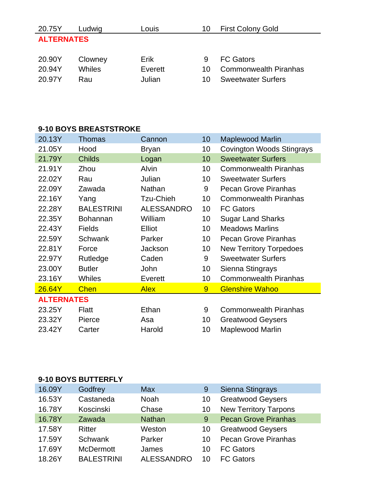| 20.75Y            | Ludwig  | Louis   | 10 | <b>First Colony Gold</b>     |  |  |
|-------------------|---------|---------|----|------------------------------|--|--|
| <b>ALTERNATES</b> |         |         |    |                              |  |  |
|                   |         |         |    |                              |  |  |
| 20.90Y            | Clowney | Erik    |    | <b>FC Gators</b>             |  |  |
| 20.94Y            | Whiles  | Everett | 10 | <b>Commonwealth Piranhas</b> |  |  |
| 20.97Y            | Rau     | Julian  | 10 | <b>Sweetwater Surfers</b>    |  |  |

## **9-10 BOYS BREASTSTROKE**

| 20.13Y            | Thomas            | Cannon            | 10 | <b>Maplewood Marlin</b>        |  |  |
|-------------------|-------------------|-------------------|----|--------------------------------|--|--|
| 21.05Y            | Hood              | <b>Bryan</b>      | 10 | Covington Woods Stingrays      |  |  |
| 21.79Y            | <b>Childs</b>     | Logan             | 10 | <b>Sweetwater Surfers</b>      |  |  |
| 21.91Y            | Zhou              | Alvin             | 10 | <b>Commonwealth Piranhas</b>   |  |  |
| 22.02Y            | Rau               | Julian            | 10 | <b>Sweetwater Surfers</b>      |  |  |
| 22.09Y            | Zawada            | <b>Nathan</b>     | 9  | Pecan Grove Piranhas           |  |  |
| 22.16Y            | Yang              | Tzu-Chieh         | 10 | <b>Commonwealth Piranhas</b>   |  |  |
| 22.28Y            | <b>BALESTRINI</b> | <b>ALESSANDRO</b> | 10 | <b>FC Gators</b>               |  |  |
| 22.35Y            | <b>Bohannan</b>   | William           | 10 | <b>Sugar Land Sharks</b>       |  |  |
| 22.43Y            | <b>Fields</b>     | Elliot            | 10 | <b>Meadows Marlins</b>         |  |  |
| 22.59Y            | <b>Schwank</b>    | Parker            | 10 | <b>Pecan Grove Piranhas</b>    |  |  |
| 22.81Y            | Force             | Jackson           | 10 | <b>New Territory Torpedoes</b> |  |  |
| 22.97Y            | Rutledge          | Caden             | 9  | <b>Sweetwater Surfers</b>      |  |  |
| 23.00Y            | <b>Butler</b>     | John              | 10 | Sienna Stingrays               |  |  |
| 23.16Y            | Whiles            | Everett           | 10 | <b>Commonwealth Piranhas</b>   |  |  |
| 26.64Y            | <b>Chen</b>       | <b>Alex</b>       | 9  | <b>Glenshire Wahoo</b>         |  |  |
| <b>ALTERNATES</b> |                   |                   |    |                                |  |  |
| 23.25Y            | Flatt             | Ethan             | 9  | <b>Commonwealth Piranhas</b>   |  |  |
| 23.32Y            | Pierce            | Asa               | 10 | <b>Greatwood Geysers</b>       |  |  |
| 23.42Y            | Carter            | Harold            | 10 | <b>Maplewood Marlin</b>        |  |  |

## **9-10 BOYS BUTTERFLY**

| 16.09Y | Godfrey           | <b>Max</b>        | 9  | Sienna Stingrays             |
|--------|-------------------|-------------------|----|------------------------------|
| 16.53Y | Castaneda         | <b>Noah</b>       | 10 | <b>Greatwood Geysers</b>     |
| 16.78Y | Koscinski         | Chase             | 10 | <b>New Territory Tarpons</b> |
| 16.78Y | Zawada            | <b>Nathan</b>     | 9  | <b>Pecan Grove Piranhas</b>  |
| 17.58Y | Ritter            | Weston            | 10 | <b>Greatwood Geysers</b>     |
| 17.59Y | Schwank           | Parker            | 10 | <b>Pecan Grove Piranhas</b>  |
| 17.69Y | <b>McDermott</b>  | James             | 10 | <b>FC Gators</b>             |
| 18.26Y | <b>BALESTRINI</b> | <b>ALESSANDRO</b> | 10 | <b>FC Gators</b>             |